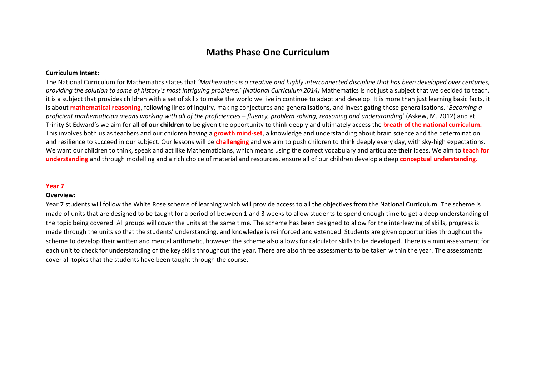# **Maths Phase One Curriculum**

## **Curriculum Intent:**

The National Curriculum for Mathematics states that *'Mathematics is a creative and highly interconnected discipline that has been developed over centuries, providing the solution to some of history's most intriguing problems.' (National Curriculum 2014)* Mathematics is not just a subject that we decided to teach, it is a subject that provides children with a set of skills to make the world we live in continue to adapt and develop. It is more than just learning basic facts, it is about **mathematical reasoning**, following lines of inquiry, making conjectures and generalisations, and investigating those generalisations. '*Becoming a proficient mathematician means working with all of the proficiencies – fluency, problem solving, reasoning and understanding*' (Askew, M. 2012) and at Trinity St Edward's we aim for **all of our children** to be given the opportunity to think deeply and ultimately access the **breath of the national curriculum.**  This involves both us as teachers and our children having a **growth mind-set**, a knowledge and understanding about brain science and the determination and resilience to succeed in our subject. Our lessons will be **challenging** and we aim to push children to think deeply every day, with sky-high expectations. We want our children to think, speak and act like Mathematicians, which means using the correct vocabulary and articulate their ideas. We aim to **teach for understanding** and through modelling and a rich choice of material and resources, ensure all of our children develop a deep **conceptual understanding.** 

#### **Year 7**

### **Overview:**

Year 7 students will follow the White Rose scheme of learning which will provide access to all the objectives from the National Curriculum. The scheme is made of units that are designed to be taught for a period of between 1 and 3 weeks to allow students to spend enough time to get a deep understanding of the topic being covered. All groups will cover the units at the same time. The scheme has been designed to allow for the interleaving of skills, progress is made through the units so that the students' understanding, and knowledge is reinforced and extended. Students are given opportunities throughout the scheme to develop their written and mental arithmetic, however the scheme also allows for calculator skills to be developed. There is a mini assessment for each unit to check for understanding of the key skills throughout the year. There are also three assessments to be taken within the year. The assessments cover all topics that the students have been taught through the course.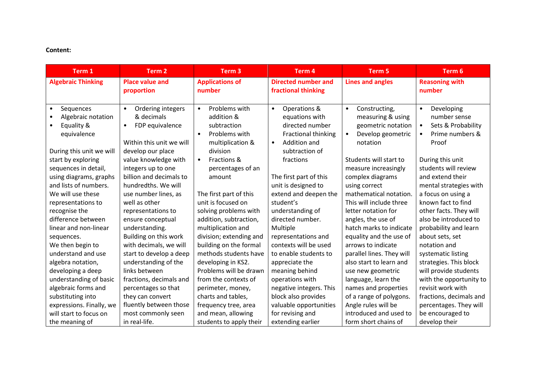# **Content:**

| Term 1                    | Term 2                         | Term <sub>3</sub>          | Term 4                     | Term 5                     | Term 6                          |
|---------------------------|--------------------------------|----------------------------|----------------------------|----------------------------|---------------------------------|
| <b>Algebraic Thinking</b> | <b>Place value and</b>         | <b>Applications of</b>     | <b>Directed number and</b> | <b>Lines and angles</b>    | <b>Reasoning with</b>           |
|                           | proportion                     | number                     | fractional thinking        |                            | number                          |
|                           |                                |                            |                            |                            |                                 |
| Sequences<br>$\bullet$    | Ordering integers<br>$\bullet$ | Problems with<br>$\bullet$ | Operations &<br>$\bullet$  | Constructing,<br>$\bullet$ | Developing<br>$\bullet$         |
| Algebraic notation        | & decimals                     | addition &                 | equations with             | measuring & using          | number sense                    |
| Equality &                | FDP equivalence<br>$\bullet$   | subtraction                | directed number            | geometric notation         | Sets & Probability<br>$\bullet$ |
| equivalence               |                                | Problems with<br>$\bullet$ | <b>Fractional thinking</b> | Develop geometric          | Prime numbers &                 |
|                           | Within this unit we will       | multiplication &           | Addition and<br>$\bullet$  | notation                   | Proof                           |
| During this unit we will  | develop our place              | division                   | subtraction of             |                            |                                 |
| start by exploring        | value knowledge with           | Fractions &<br>$\bullet$   | fractions                  | Students will start to     | During this unit                |
| sequences in detail,      | integers up to one             | percentages of an          |                            | measure increasingly       | students will review            |
| using diagrams, graphs    | billion and decimals to        | amount                     | The first part of this     | complex diagrams           | and extend their                |
| and lists of numbers.     | hundredths. We will            |                            | unit is designed to        | using correct              | mental strategies with          |
| We will use these         | use number lines, as           | The first part of this     | extend and deepen the      | mathematical notation.     | a focus on using a              |
| representations to        | well as other                  | unit is focused on         | student's                  | This will include three    | known fact to find              |
| recognise the             | representations to             | solving problems with      | understanding of           | letter notation for        | other facts. They will          |
| difference between        | ensure conceptual              | addition, subtraction,     | directed number.           | angles, the use of         | also be introduced to           |
| linear and non-linear     | understanding.                 | multiplication and         | Multiple                   | hatch marks to indicate    | probability and learn           |
| sequences.                | Building on this work          | division; extending and    | representations and        | equality and the use of    | about sets, set                 |
| We then begin to          | with decimals, we will         | building on the formal     | contexts will be used      | arrows to indicate         | notation and                    |
| understand and use        | start to develop a deep        | methods students have      | to enable students to      | parallel lines. They will  | systematic listing              |
| algebra notation,         | understanding of the           | developing in KS2.         | appreciate the             | also start to learn and    | strategies. This block          |
| developing a deep         | links between                  | Problems will be drawn     | meaning behind             | use new geometric          | will provide students           |
| understanding of basic    | fractions, decimals and        | from the contexts of       | operations with            | language, learn the        | with the opportunity to         |
| algebraic forms and       | percentages so that            | perimeter, money,          | negative integers. This    | names and properties       | revisit work with               |
| substituting into         | they can convert               | charts and tables,         | block also provides        | of a range of polygons.    | fractions, decimals and         |
| expressions. Finally, we  | fluently between those         | frequency tree, area       | valuable opportunities     | Angle rules will be        | percentages. They will          |
| will start to focus on    | most commonly seen             | and mean, allowing         | for revising and           | introduced and used to     | be encouraged to                |
| the meaning of            | in real-life.                  | students to apply their    | extending earlier          | form short chains of       | develop their                   |